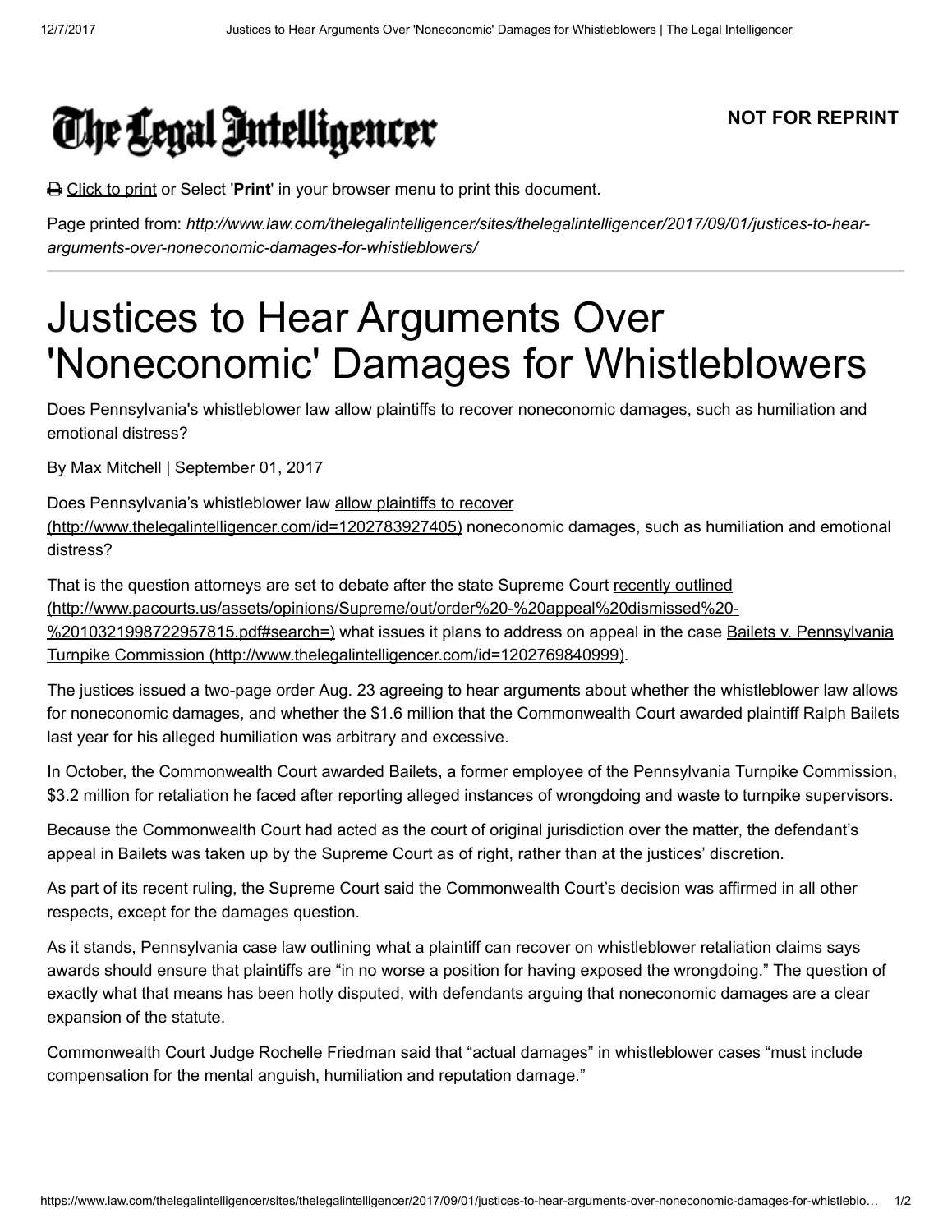

## NOT FOR REPRINT

**</u> Click to print or Select 'Print'** in your browser menu to print this document.

Page printed from: http://www.law.com/thelegalintelligencer/sites/thelegalintelligencer/2017/09/01/justices-to-heararguments-over-noneconomic-damages-for-whistleblowers/

## Justices to Hear Arguments Over 'Noneconomic' Damages for Whistleblowers

Does Pennsylvania's whistleblower law allow plaintiffs to recover noneconomic damages, such as humiliation and emotional distress?

By Max Mitchell | September 01, 2017

Does Pennsylvania's whistleblower law allow plaintiffs to recover [\(http://www.thelegalintelligencer.com/id=1202783927405\) noneco](http://www.thelegalintelligencer.com/id=1202783927405)nomic damages, such as humiliation and emotional distress?

That is the question attorneys are set to debate after the state Supreme Court recently outlined [\(http://www.pacourts.us/assets/opinions/Supreme/out/order%20-%20appeal%20dismissed%20-](http://www.pacourts.us/assets/opinions/Supreme/out/order%20-%20appeal%20dismissed%20-%2010321998722957815.pdf#search=) [%2010321998722957815.pdf#search=\) what issues it plans to address on appeal in the case Bailets v. Pennsylvania](http://www.thelegalintelligencer.com/id=1202769840999) Turnpike Commission (http://www.thelegalintelligencer.com/id=1202769840999).

The justices issued a two-page order Aug. 23 agreeing to hear arguments about whether the whistleblower law allows for noneconomic damages, and whether the \$1.6 million that the Commonwealth Court awarded plaintiff Ralph Bailets last year for his alleged humiliation was arbitrary and excessive.

In October, the Commonwealth Court awarded Bailets, a former employee of the Pennsylvania Turnpike Commission, \$3.2 million for retaliation he faced after reporting alleged instances of wrongdoing and waste to turnpike supervisors.

Because the Commonwealth Court had acted as the court of original jurisdiction over the matter, the defendant's appeal in Bailets was taken up by the Supreme Court as of right, rather than at the justices' discretion.

As part of its recent ruling, the Supreme Court said the Commonwealth Court's decision was affirmed in all other respects, except for the damages question.

As it stands, Pennsylvania case law outlining what a plaintiff can recover on whistleblower retaliation claims says awards should ensure that plaintiffs are "in no worse a position for having exposed the wrongdoing." The question of exactly what that means has been hotly disputed, with defendants arguing that noneconomic damages are a clear expansion of the statute.

Commonwealth Court Judge Rochelle Friedman said that "actual damages" in whistleblower cases "must include compensation for the mental anguish, humiliation and reputation damage."